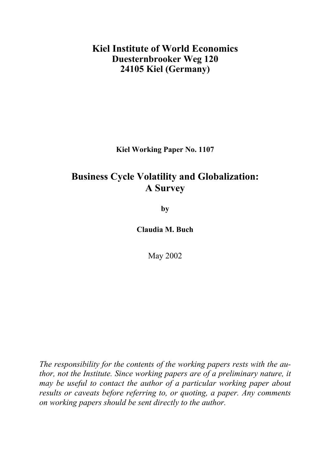## **Kiel Institute of World Economics Duesternbrooker Weg 120 24105 Kiel (Germany)**

**Kiel Working Paper No. 1107** 

# **Business Cycle Volatility and Globalization: A Survey**

**by** 

**Claudia M. Buch** 

May 2002

*The responsibility for the contents of the working papers rests with the author, not the Institute. Since working papers are of a preliminary nature, it may be useful to contact the author of a particular working paper about results or caveats before referring to, or quoting, a paper. Any comments on working papers should be sent directly to the author.*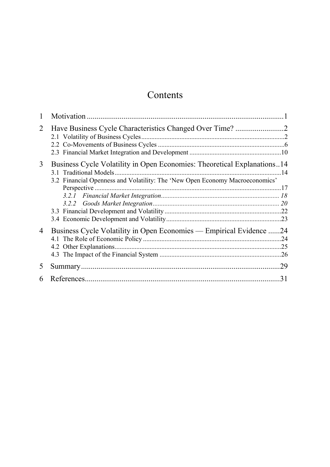# Contents

| 2 |                                                                                                                                                         |     |
|---|---------------------------------------------------------------------------------------------------------------------------------------------------------|-----|
| 3 | Business Cycle Volatility in Open Economies: Theoretical Explanations14<br>3.2 Financial Openness and Volatility: The 'New Open Economy Macroeconomics' |     |
| 4 | Business Cycle Volatility in Open Economies — Empirical Evidence                                                                                        | .24 |
| 5 |                                                                                                                                                         | .29 |
| 6 |                                                                                                                                                         | 31  |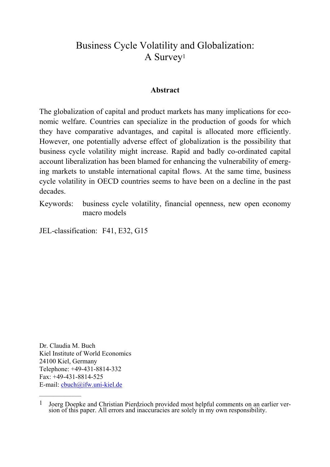## Business Cycle Volatility and Globalization: A Survey1

#### **Abstract**

The globalization of capital and product markets has many implications for economic welfare. Countries can specialize in the production of goods for which they have comparative advantages, and capital is allocated more efficiently. However, one potentially adverse effect of globalization is the possibility that business cycle volatility might increase. Rapid and badly co-ordinated capital account liberalization has been blamed for enhancing the vulnerability of emerging markets to unstable international capital flows. At the same time, business cycle volatility in OECD countries seems to have been on a decline in the past decades.

Keywords: business cycle volatility, financial openness, new open economy macro models

JEL-classification: F41, E32, G15

Dr. Claudia M. Buch Kiel Institute of World Economics 24100 Kiel, Germany Telephone: +49-431-8814-332 Fax: +49-431-8814-525 E-mail: [cbuch@ifw.uni-kiel.de](mailto:cbuch@ifw.uni-kiel.de)

<sup>1</sup> Joerg Doepke and Christian Pierdzioch provided most helpful comments on an earlier version of this paper. All errors and inaccuracies are solely in my own responsibility.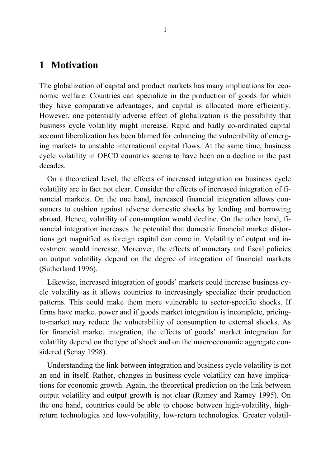## **1 Motivation**

The globalization of capital and product markets has many implications for economic welfare. Countries can specialize in the production of goods for which they have comparative advantages, and capital is allocated more efficiently. However, one potentially adverse effect of globalization is the possibility that business cycle volatility might increase. Rapid and badly co-ordinated capital account liberalization has been blamed for enhancing the vulnerability of emerging markets to unstable international capital flows. At the same time, business cycle volatility in OECD countries seems to have been on a decline in the past decades.

On a theoretical level, the effects of increased integration on business cycle volatility are in fact not clear. Consider the effects of increased integration of financial markets. On the one hand, increased financial integration allows consumers to cushion against adverse domestic shocks by lending and borrowing abroad. Hence, volatility of consumption would decline. On the other hand, financial integration increases the potential that domestic financial market distortions get magnified as foreign capital can come in. Volatility of output and investment would increase. Moreover, the effects of monetary and fiscal policies on output volatility depend on the degree of integration of financial markets (Sutherland 1996).

Likewise, increased integration of goods' markets could increase business cycle volatility as it allows countries to increasingly specialize their production patterns. This could make them more vulnerable to sector-specific shocks. If firms have market power and if goods market integration is incomplete, pricingto-market may reduce the vulnerability of consumption to external shocks. As for financial market integration, the effects of goods' market integration for volatility depend on the type of shock and on the macroeconomic aggregate considered (Senay 1998).

Understanding the link between integration and business cycle volatility is not an end in itself. Rather, changes in business cycle volatility can have implications for economic growth. Again, the theoretical prediction on the link between output volatility and output growth is not clear (Ramey and Ramey 1995). On the one hand, countries could be able to choose between high-volatility, highreturn technologies and low-volatility, low-return technologies. Greater volatil-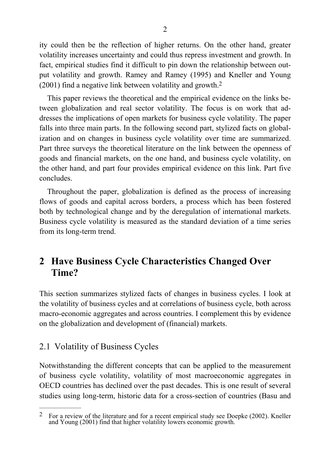ity could then be the reflection of higher returns. On the other hand, greater volatility increases uncertainty and could thus repress investment and growth. In fact, empirical studies find it difficult to pin down the relationship between output volatility and growth. Ramey and Ramey (1995) and Kneller and Young (2001) find a negative link between volatility and growth.2

This paper reviews the theoretical and the empirical evidence on the links between globalization and real sector volatility. The focus is on work that addresses the implications of open markets for business cycle volatility. The paper falls into three main parts. In the following second part, stylized facts on globalization and on changes in business cycle volatility over time are summarized. Part three surveys the theoretical literature on the link between the openness of goods and financial markets, on the one hand, and business cycle volatility, on the other hand, and part four provides empirical evidence on this link. Part five concludes.

Throughout the paper, globalization is defined as the process of increasing flows of goods and capital across borders, a process which has been fostered both by technological change and by the deregulation of international markets. Business cycle volatility is measured as the standard deviation of a time series from its long-term trend.

# **2 Have Business Cycle Characteristics Changed Over Time?**

This section summarizes stylized facts of changes in business cycles. I look at the volatility of business cycles and at correlations of business cycle, both across macro-economic aggregates and across countries. I complement this by evidence on the globalization and development of (financial) markets.

## 2.1 Volatility of Business Cycles

Notwithstanding the different concepts that can be applied to the measurement of business cycle volatility, volatility of most macroeconomic aggregates in OECD countries has declined over the past decades. This is one result of several studies using long-term, historic data for a cross-section of countries (Basu and

<sup>&</sup>lt;sup>2</sup> For a review of the literature and for a recent empirical study see Doepke (2002). Kneller and Young (2001) find that higher volatility lowers economic growth.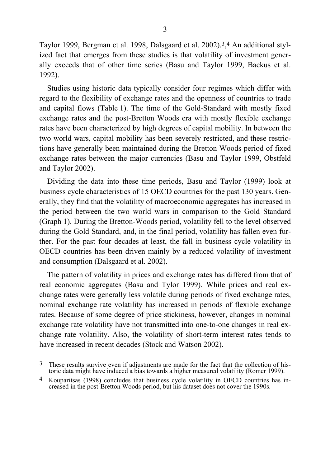Taylor 1999, Bergman et al. 1998, Dalsgaard et al. 2002).3,4 An additional stylized fact that emerges from these studies is that volatility of investment generally exceeds that of other time series (Basu and Taylor 1999, Backus et al. 1992).

Studies using historic data typically consider four regimes which differ with regard to the flexibility of exchange rates and the openness of countries to trade and capital flows (Table 1). The time of the Gold-Standard with mostly fixed exchange rates and the post-Bretton Woods era with mostly flexible exchange rates have been characterized by high degrees of capital mobility. In between the two world wars, capital mobility has been severely restricted, and these restrictions have generally been maintained during the Bretton Woods period of fixed exchange rates between the major currencies (Basu and Taylor 1999, Obstfeld and Taylor 2002).

Dividing the data into these time periods, Basu and Taylor (1999) look at business cycle characteristics of 15 OECD countries for the past 130 years. Generally, they find that the volatility of macroeconomic aggregates has increased in the period between the two world wars in comparison to the Gold Standard (Graph 1). During the Bretton-Woods period, volatility fell to the level observed during the Gold Standard, and, in the final period, volatility has fallen even further. For the past four decades at least, the fall in business cycle volatility in OECD countries has been driven mainly by a reduced volatility of investment and consumption (Dalsgaard et al. 2002).

The pattern of volatility in prices and exchange rates has differed from that of real economic aggregates (Basu and Tylor 1999). While prices and real exchange rates were generally less volatile during periods of fixed exchange rates, nominal exchange rate volatility has increased in periods of flexible exchange rates. Because of some degree of price stickiness, however, changes in nominal exchange rate volatility have not transmitted into one-to-one changes in real exchange rate volatility. Also, the volatility of short-term interest rates tends to have increased in recent decades (Stock and Watson 2002).

<sup>&</sup>lt;sup>3</sup> These results survive even if adjustments are made for the fact that the collection of historic data might have induced a bias towards a higher measured volatility (Romer 1999).

<sup>4</sup> Kouparitsas (1998) concludes that business cycle volatility in OECD countries has increased in the post-Bretton Woods period, but his dataset does not cover the 1990s.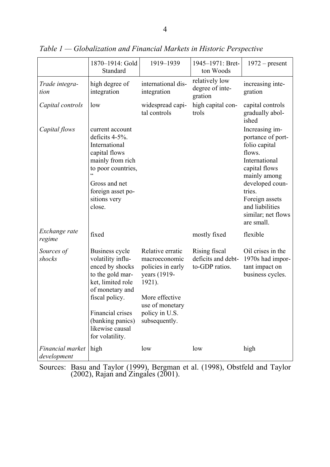|                                 | 1870-1914: Gold<br>Standard                                                                                                                                                                                                      | 1919-1939                                                                                                                                                | 1945-1971: Bret-<br>ton Woods                         | $1972$ – present                                                                                                                                                                                                       |
|---------------------------------|----------------------------------------------------------------------------------------------------------------------------------------------------------------------------------------------------------------------------------|----------------------------------------------------------------------------------------------------------------------------------------------------------|-------------------------------------------------------|------------------------------------------------------------------------------------------------------------------------------------------------------------------------------------------------------------------------|
| Trade integra-<br>tion          | high degree of<br>integration                                                                                                                                                                                                    | international dis-<br>integration                                                                                                                        | relatively low<br>degree of inte-<br>gration          | increasing inte-<br>gration                                                                                                                                                                                            |
| Capital controls                | low                                                                                                                                                                                                                              | widespread capi-<br>tal controls                                                                                                                         | high capital con-<br>trols                            | capital controls<br>gradually abol-<br>ished                                                                                                                                                                           |
| Capital flows                   | current account<br>deficits 4-5%.<br>International<br>capital flows<br>mainly from rich<br>to poor countries,<br>$\epsilon$<br>Gross and net<br>foreign asset po-<br>sitions very<br>close.                                      |                                                                                                                                                          |                                                       | Increasing im-<br>portance of port-<br>folio capital<br>flows.<br>International<br>capital flows<br>mainly among<br>developed coun-<br>tries.<br>Foreign assets<br>and liabilities<br>similar; net flows<br>are small. |
| Exchange rate<br>regime         | fixed                                                                                                                                                                                                                            |                                                                                                                                                          | mostly fixed                                          | flexible                                                                                                                                                                                                               |
| Sources of<br>shocks            | <b>Business cycle</b><br>volatility influ-<br>enced by shocks<br>to the gold mar-<br>ket, limited role<br>of monetary and<br>fiscal policy.<br><b>Financial crises</b><br>(banking panics)<br>likewise causal<br>for volatility. | Relative erratic<br>macroeconomic<br>policies in early<br>years (1919-<br>1921).<br>More effective<br>use of monetary<br>policy in U.S.<br>subsequently. | Rising fiscal<br>deficits and debt-<br>to-GDP ratios. | Oil crises in the<br>1970s had impor-<br>tant impact on<br>business cycles.                                                                                                                                            |
| Financial market<br>development | high                                                                                                                                                                                                                             | low                                                                                                                                                      | low                                                   | high                                                                                                                                                                                                                   |

*Table 1 — Globalization and Financial Markets in Historic Perspective* 

Sources: Basu and Taylor (1999), Bergman et al. (1998), Obstfeld and Taylor (2002), Rajan and Zingales (2001).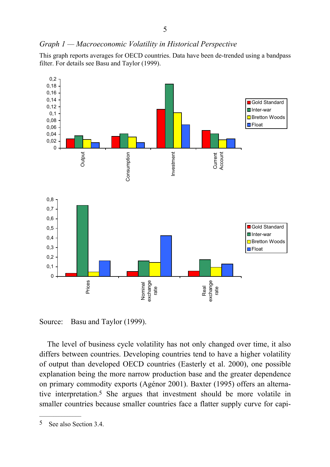#### *Graph 1 — Macroeconomic Volatility in Historical Perspective*

This graph reports averages for OECD countries. Data have been de-trended using a bandpass filter. For details see Basu and Taylor (1999).



Source: Basu and Taylor (1999).

The level of business cycle volatility has not only changed over time, it also differs between countries. Developing countries tend to have a higher volatility of output than developed OECD countries (Easterly et al. 2000), one possible explanation being the more narrow production base and the greater dependence on primary commodity exports (Agénor 2001). Baxter (1995) offers an alternative interpretation.5 She argues that investment should be more volatile in smaller countries because smaller countries face a flatter supply curve for capi-

<sup>5</sup> See also Section 3.4.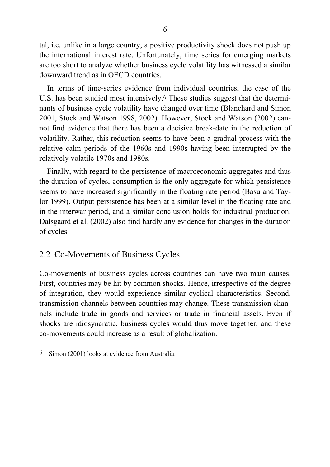tal, i.e. unlike in a large country, a positive productivity shock does not push up the international interest rate. Unfortunately, time series for emerging markets are too short to analyze whether business cycle volatility has witnessed a similar downward trend as in OECD countries.

In terms of time-series evidence from individual countries, the case of the U.S. has been studied most intensively.<sup>6</sup> These studies suggest that the determinants of business cycle volatility have changed over time (Blanchard and Simon 2001, Stock and Watson 1998, 2002). However, Stock and Watson (2002) cannot find evidence that there has been a decisive break-date in the reduction of volatility. Rather, this reduction seems to have been a gradual process with the relative calm periods of the 1960s and 1990s having been interrupted by the relatively volatile 1970s and 1980s.

Finally, with regard to the persistence of macroeconomic aggregates and thus the duration of cycles, consumption is the only aggregate for which persistence seems to have increased significantly in the floating rate period (Basu and Taylor 1999). Output persistence has been at a similar level in the floating rate and in the interwar period, and a similar conclusion holds for industrial production. Dalsgaard et al. (2002) also find hardly any evidence for changes in the duration of cycles.

## 2.2 Co-Movements of Business Cycles

Co-movements of business cycles across countries can have two main causes. First, countries may be hit by common shocks. Hence, irrespective of the degree of integration, they would experience similar cyclical characteristics. Second, transmission channels between countries may change. These transmission channels include trade in goods and services or trade in financial assets. Even if shocks are idiosyncratic, business cycles would thus move together, and these co-movements could increase as a result of globalization.

 $\frac{1}{2}$ 

<sup>6</sup> Simon (2001) looks at evidence from Australia.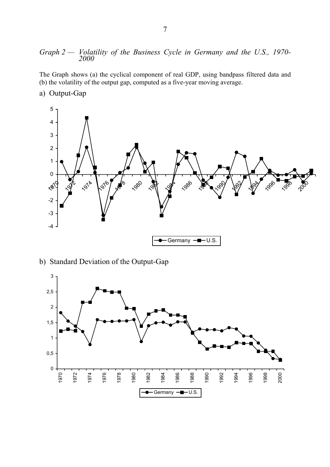# *Graph 2 — Volatility of the Business Cycle in Germany and the U.S., 1970- <sup>2000</sup>*

The Graph shows (a) the cyclical component of real GDP, using bandpass filtered data and (b) the volatility of the output gap, computed as a five-year moving average.

a) Output-Gap



b) Standard Deviation of the Output-Gap

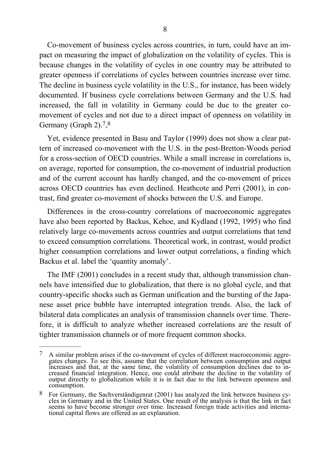Co-movement of business cycles across countries, in turn, could have an impact on measuring the impact of globalization on the volatility of cycles. This is because changes in the volatility of cycles in one country may be attributed to greater openness if correlations of cycles between countries increase over time. The decline in business cycle volatility in the U.S., for instance, has been widely documented. If business cycle correlations between Germany and the U.S. had increased, the fall in volatility in Germany could be due to the greater comovement of cycles and not due to a direct impact of openness on volatility in Germany (Graph 2).<sup>7</sup>,<sup>8</sup>

Yet, evidence presented in Basu and Taylor (1999) does not show a clear pattern of increased co-movement with the U.S. in the post-Bretton-Woods period for a cross-section of OECD countries. While a small increase in correlations is, on average, reported for consumption, the co-movement of industrial production and of the current account has hardly changed, and the co-movement of prices across OECD countries has even declined. Heathcote and Perri (2001), in contrast, find greater co-movement of shocks between the U.S. and Europe.

Differences in the cross-country correlations of macroeconomic aggregates have also been reported by Backus, Kehoe, and Kydland (1992, 1995) who find relatively large co-movements across countries and output correlations that tend to exceed consumption correlations. Theoretical work, in contrast, would predict higher consumption correlations and lower output correlations, a finding which Backus et al. label the 'quantity anomaly'.

The IMF (2001) concludes in a recent study that, although transmission channels have intensified due to globalization, that there is no global cycle, and that country-specific shocks such as German unification and the bursting of the Japanese asset price bubble have interrupted integration trends. Also, the lack of bilateral data complicates an analysis of transmission channels over time. Therefore, it is difficult to analyze whether increased correlations are the result of tighter transmission channels or of more frequent common shocks.

 $7$  A similar problem arises if the co-movement of cycles of different macroeconomic aggregates changes. To see this, assume that the correlation between consumption and output increases and that, at the same time, the volatility of consumption declines due to increased financial integration. Hence, one could attribute the decline in the volatility of output directly to globalization while it is in fact due to the link between openness and consumption.

<sup>8</sup> For Germany, the Sachverständigenrat (2001) has analyzed the link between business cycles in Germany and in the United States. One result of the analysis is that the link in fact seems to have become stronger over time. Increased foreign trade activities and international capital flows are offered as an explanation.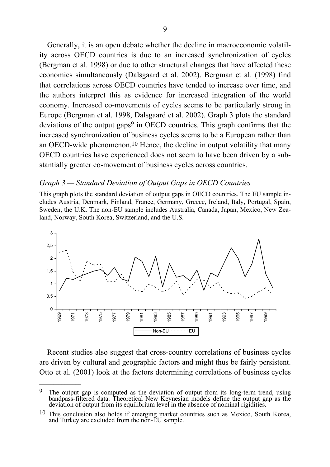Generally, it is an open debate whether the decline in macroeconomic volatility across OECD countries is due to an increased synchronization of cycles (Bergman et al. 1998) or due to other structural changes that have affected these economies simultaneously (Dalsgaard et al. 2002). Bergman et al. (1998) find that correlations across OECD countries have tended to increase over time, and the authors interpret this as evidence for increased integration of the world economy. Increased co-movements of cycles seems to be particularly strong in Europe (Bergman et al. 1998, Dalsgaard et al. 2002). Graph 3 plots the standard deviations of the output gaps<sup>9</sup> in OECD countries. This graph confirms that the increased synchronization of business cycles seems to be a European rather than an OECD-wide phenomenon.10 Hence, the decline in output volatility that many OECD countries have experienced does not seem to have been driven by a substantially greater co-movement of business cycles across countries.

#### *Graph 3 — Standard Deviation of Output Gaps in OECD Countries*

This graph plots the standard deviation of output gaps in OECD countries. The EU sample includes Austria, Denmark, Finland, France, Germany, Greece, Ireland, Italy, Portugal, Spain, Sweden, the U.K. The non-EU sample includes Australia, Canada, Japan, Mexico, New Zealand, Norway, South Korea, Switzerland, and the U.S.



Recent studies also suggest that cross-country correlations of business cycles are driven by cultural and geographic factors and might thus be fairly persistent. Otto et al. (2001) look at the factors determining correlations of business cycles

 $\mathcal{L}_\text{max}$ 

<sup>&</sup>lt;sup>9</sup> The output gap is computed as the deviation of output from its long-term trend, using bandpass-filtered data. Theoretical New Keynesian models define the output gap as the deviation of output from its equilibrium level in the absence of nominal rigidities.

<sup>10</sup> This conclusion also holds if emerging market countries such as Mexico, South Korea, and Turkey are excluded from the non-EU sample.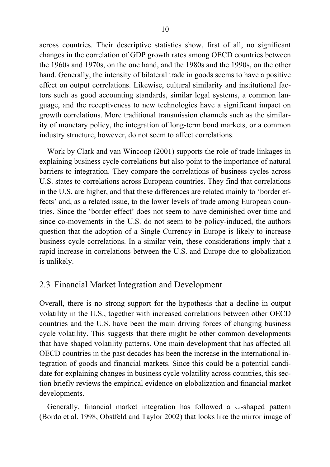across countries. Their descriptive statistics show, first of all, no significant changes in the correlation of GDP growth rates among OECD countries between the 1960s and 1970s, on the one hand, and the 1980s and the 1990s, on the other hand. Generally, the intensity of bilateral trade in goods seems to have a positive effect on output correlations. Likewise, cultural similarity and institutional factors such as good accounting standards, similar legal systems, a common language, and the receptiveness to new technologies have a significant impact on growth correlations. More traditional transmission channels such as the similarity of monetary policy, the integration of long-term bond markets, or a common industry structure, however, do not seem to affect correlations.

Work by Clark and van Wincoop (2001) supports the role of trade linkages in explaining business cycle correlations but also point to the importance of natural barriers to integration. They compare the correlations of business cycles across U.S. states to correlations across European countries. They find that correlations in the U.S. are higher, and that these differences are related mainly to 'border effects' and, as a related issue, to the lower levels of trade among European countries. Since the 'border effect' does not seem to have deminished over time and since co-movements in the U.S. do not seem to be policy-induced, the authors question that the adoption of a Single Currency in Europe is likely to increase business cycle correlations. In a similar vein, these considerations imply that a rapid increase in correlations between the U.S. and Europe due to globalization is unlikely.

## 2.3 Financial Market Integration and Development

Overall, there is no strong support for the hypothesis that a decline in output volatility in the U.S., together with increased correlations between other OECD countries and the U.S. have been the main driving forces of changing business cycle volatility. This suggests that there might be other common developments that have shaped volatility patterns. One main development that has affected all OECD countries in the past decades has been the increase in the international integration of goods and financial markets. Since this could be a potential candidate for explaining changes in business cycle volatility across countries, this section briefly reviews the empirical evidence on globalization and financial market developments.

Generally, financial market integration has followed a ∪-shaped pattern (Bordo et al. 1998, Obstfeld and Taylor 2002) that looks like the mirror image of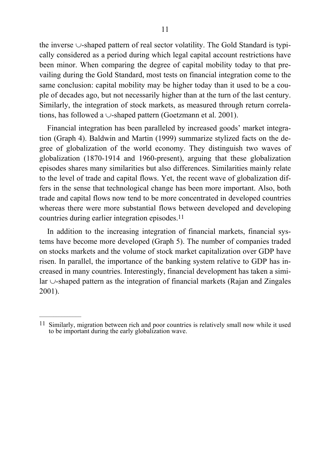the inverse ∪-shaped pattern of real sector volatility. The Gold Standard is typically considered as a period during which legal capital account restrictions have been minor. When comparing the degree of capital mobility today to that prevailing during the Gold Standard, most tests on financial integration come to the same conclusion: capital mobility may be higher today than it used to be a couple of decades ago, but not necessarily higher than at the turn of the last century. Similarly, the integration of stock markets, as measured through return correlations, has followed a ∪-shaped pattern (Goetzmann et al. 2001).

Financial integration has been paralleled by increased goods' market integration (Graph 4). Baldwin and Martin (1999) summarize stylized facts on the degree of globalization of the world economy. They distinguish two waves of globalization (1870-1914 and 1960-present), arguing that these globalization episodes shares many similarities but also differences. Similarities mainly relate to the level of trade and capital flows. Yet, the recent wave of globalization differs in the sense that technological change has been more important. Also, both trade and capital flows now tend to be more concentrated in developed countries whereas there were more substantial flows between developed and developing countries during earlier integration episodes.11

In addition to the increasing integration of financial markets, financial systems have become more developed (Graph 5). The number of companies traded on stocks markets and the volume of stock market capitalization over GDP have risen. In parallel, the importance of the banking system relative to GDP has increased in many countries. Interestingly, financial development has taken a similar ∪-shaped pattern as the integration of financial markets (Rajan and Zingales 2001).

<sup>&</sup>lt;sup>11</sup> Similarly, migration between rich and poor countries is relatively small now while it used to be important during the early globalization wave.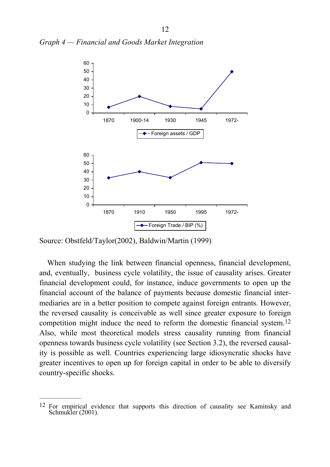*Graph 4 — Financial and Goods Market Integration* 



Source: Obstfeld/Taylor(2002), Baldwin/Martin (1999)

When studying the link between financial openness, financial development, and, eventually, business cycle volatility, the issue of causality arises. Greater financial development could, for instance, induce governments to open up the financial account of the balance of payments because domestic financial intermediaries are in a better position to compete against foreign entrants. However, the reversed causality is conceivable as well since greater exposure to foreign competition might induce the need to reform the domestic financial system.12 Also, while most theoretical models stress causality running from financial openness towards business cycle volatility (see Section 3.2), the reversed causality is possible as well. Countries experiencing large idiosyncratic shocks have greater incentives to open up for foreign capital in order to be able to diversify country-specific shocks.

<sup>12</sup> For empirical evidence that supports this direction of causality see Kaminsky and Schmukler (2001).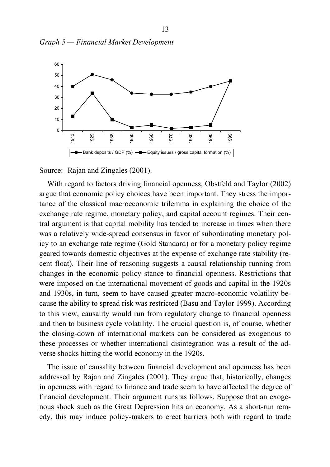



Source: Rajan and Zingales (2001).

With regard to factors driving financial openness, Obstfeld and Taylor (2002) argue that economic policy choices have been important. They stress the importance of the classical macroeconomic trilemma in explaining the choice of the exchange rate regime, monetary policy, and capital account regimes. Their central argument is that capital mobility has tended to increase in times when there was a relatively wide-spread consensus in favor of subordinating monetary policy to an exchange rate regime (Gold Standard) or for a monetary policy regime geared towards domestic objectives at the expense of exchange rate stability (recent float). Their line of reasoning suggests a causal relationship running from changes in the economic policy stance to financial openness. Restrictions that were imposed on the international movement of goods and capital in the 1920s and 1930s, in turn, seem to have caused greater macro-economic volatility because the ability to spread risk was restricted (Basu and Taylor 1999). According to this view, causality would run from regulatory change to financial openness and then to business cycle volatility. The crucial question is, of course, whether the closing-down of international markets can be considered as exogenous to these processes or whether international disintegration was a result of the adverse shocks hitting the world economy in the 1920s.

The issue of causality between financial development and openness has been addressed by Rajan and Zingales (2001). They argue that, historically, changes in openness with regard to finance and trade seem to have affected the degree of financial development. Their argument runs as follows. Suppose that an exogenous shock such as the Great Depression hits an economy. As a short-run remedy, this may induce policy-makers to erect barriers both with regard to trade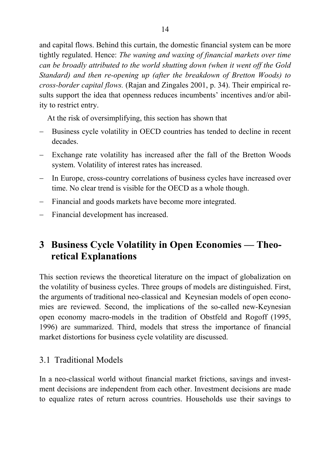and capital flows. Behind this curtain, the domestic financial system can be more tightly regulated. Hence: *The waning and waxing of financial markets over time can be broadly attributed to the world shutting down (when it went off the Gold Standard) and then re-opening up (after the breakdown of Bretton Woods) to cross-border capital flows.* (Rajan and Zingales 2001, p. 34). Their empirical results support the idea that openness reduces incumbents' incentives and/or ability to restrict entry.

At the risk of oversimplifying, this section has shown that

- Business cycle volatility in OECD countries has tended to decline in recent decades.
- − Exchange rate volatility has increased after the fall of the Bretton Woods system. Volatility of interest rates has increased.
- − In Europe, cross-country correlations of business cycles have increased over time. No clear trend is visible for the OECD as a whole though.
- − Financial and goods markets have become more integrated.
- − Financial development has increased.

# **3 Business Cycle Volatility in Open Economies — Theoretical Explanations**

This section reviews the theoretical literature on the impact of globalization on the volatility of business cycles. Three groups of models are distinguished. First, the arguments of traditional neo-classical and Keynesian models of open economies are reviewed. Second, the implications of the so-called new-Keynesian open economy macro-models in the tradition of Obstfeld and Rogoff (1995, 1996) are summarized. Third, models that stress the importance of financial market distortions for business cycle volatility are discussed.

## 3.1 Traditional Models

In a neo-classical world without financial market frictions, savings and investment decisions are independent from each other. Investment decisions are made to equalize rates of return across countries. Households use their savings to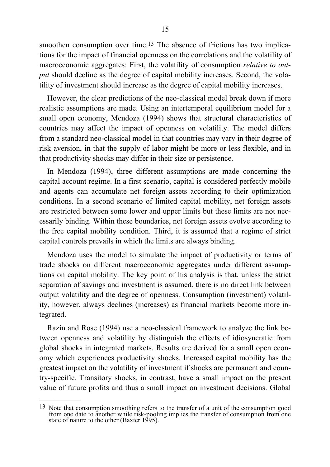smoothen consumption over time.<sup>13</sup> The absence of frictions has two implications for the impact of financial openness on the correlations and the volatility of macroeconomic aggregates: First, the volatility of consumption *relative to output* should decline as the degree of capital mobility increases. Second, the volatility of investment should increase as the degree of capital mobility increases.

However, the clear predictions of the neo-classical model break down if more realistic assumptions are made. Using an intertemporal equilibrium model for a small open economy, Mendoza (1994) shows that structural characteristics of countries may affect the impact of openness on volatility. The model differs from a standard neo-classical model in that countries may vary in their degree of risk aversion, in that the supply of labor might be more or less flexible, and in that productivity shocks may differ in their size or persistence.

In Mendoza (1994), three different assumptions are made concerning the capital account regime. In a first scenario, capital is considered perfectly mobile and agents can accumulate net foreign assets according to their optimization conditions. In a second scenario of limited capital mobility, net foreign assets are restricted between some lower and upper limits but these limits are not necessarily binding. Within these boundaries, net foreign assets evolve according to the free capital mobility condition. Third, it is assumed that a regime of strict capital controls prevails in which the limits are always binding.

Mendoza uses the model to simulate the impact of productivity or terms of trade shocks on different macroeconomic aggregates under different assumptions on capital mobility. The key point of his analysis is that, unless the strict separation of savings and investment is assumed, there is no direct link between output volatility and the degree of openness. Consumption (investment) volatility, however, always declines (increases) as financial markets become more integrated.

Razin and Rose (1994) use a neo-classical framework to analyze the link between openness and volatility by distinguish the effects of idiosyncratic from global shocks in integrated markets. Results are derived for a small open economy which experiences productivity shocks. Increased capital mobility has the greatest impact on the volatility of investment if shocks are permanent and country-specific. Transitory shocks, in contrast, have a small impact on the present value of future profits and thus a small impact on investment decisions. Global

<sup>&</sup>lt;sup>13</sup> Note that consumption smoothing refers to the transfer of a unit of the consumption good from one date to another while risk-pooling implies the transfer of consumption from one state of nature to the other (Baxter 1995).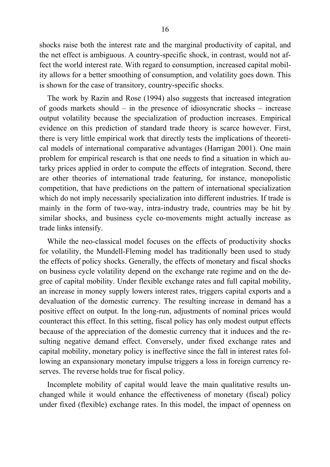shocks raise both the interest rate and the marginal productivity of capital, and the net effect is ambiguous. A country-specific shock, in contrast, would not affect the world interest rate. With regard to consumption, increased capital mobility allows for a better smoothing of consumption, and volatility goes down. This is shown for the case of transitory, country-specific shocks.

The work by Razin and Rose (1994) also suggests that increased integration of goods markets should – in the presence of idiosyncratic shocks – increase output volatility because the specialization of production increases. Empirical evidence on this prediction of standard trade theory is scarce however. First, there is very little empirical work that directly tests the implications of theoretical models of international comparative advantages (Harrigan 2001). One main problem for empirical research is that one needs to find a situation in which autarky prices applied in order to compute the effects of integration. Second, there are other theories of international trade featuring, for instance, monopolistic competition, that have predictions on the pattern of international specialization which do not imply necessarily specialization into different industries. If trade is mainly in the form of two-way, intra-industry trade, countries may be hit by similar shocks, and business cycle co-movements might actually increase as trade links intensify.

While the neo-classical model focuses on the effects of productivity shocks for volatility, the Mundell-Fleming model has traditionally been used to study the effects of policy shocks. Generally, the effects of monetary and fiscal shocks on business cycle volatility depend on the exchange rate regime and on the degree of capital mobility. Under flexible exchange rates and full capital mobility, an increase in money supply lowers interest rates, triggers capital exports and a devaluation of the domestic currency. The resulting increase in demand has a positive effect on output. In the long-run, adjustments of nominal prices would counteract this effect. In this setting, fiscal policy has only modest output effects because of the appreciation of the domestic currency that it induces and the resulting negative demand effect. Conversely, under fixed exchange rates and capital mobility, monetary policy is ineffective since the fall in interest rates following an expansionary monetary impulse triggers a loss in foreign currency reserves. The reverse holds true for fiscal policy.

Incomplete mobility of capital would leave the main qualitative results unchanged while it would enhance the effectiveness of monetary (fiscal) policy under fixed (flexible) exchange rates. In this model, the impact of openness on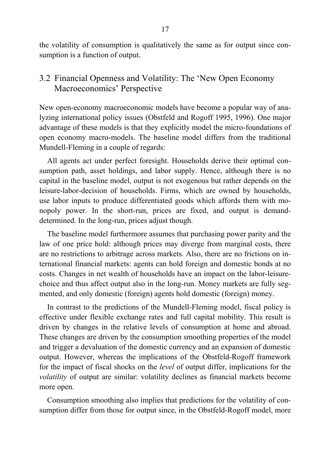the volatility of consumption is qualitatively the same as for output since consumption is a function of output.

## 3.2 Financial Openness and Volatility: The 'New Open Economy Macroeconomics' Perspective

New open-economy macroeconomic models have become a popular way of analyzing international policy issues (Obstfeld and Rogoff 1995, 1996). One major advantage of these models is that they explicitly model the micro-foundations of open economy macro-models. The baseline model differs from the traditional Mundell-Fleming in a couple of regards:

All agents act under perfect foresight. Households derive their optimal consumption path, asset holdings, and labor supply. Hence, although there is no capital in the baseline model, output is not exogenous but rather depends on the leisure-labor-decision of households. Firms, which are owned by households, use labor inputs to produce differentiated goods which affords them with monopoly power. In the short-run, prices are fixed, and output is demanddetermined. In the long-run, prices adjust though.

The baseline model furthermore assumes that purchasing power parity and the law of one price hold: although prices may diverge from marginal costs, there are no restrictions to arbitrage across markets. Also, there are no frictions on international financial markets: agents can hold foreign and domestic bonds at no costs. Changes in net wealth of households have an impact on the labor-leisurechoice and thus affect output also in the long-run. Money markets are fully segmented, and only domestic (foreign) agents hold domestic (foreign) money.

In contrast to the predictions of the Mundell-Fleming model, fiscal policy is effective under flexible exchange rates and full capital mobility. This result is driven by changes in the relative levels of consumption at home and abroad. These changes are driven by the consumption smoothing properties of the model and trigger a devaluation of the domestic currency and an expansion of domestic output. However, whereas the implications of the Obstfeld-Rogoff framework for the impact of fiscal shocks on the *level* of output differ, implications for the *volatility* of output are similar: volatility declines as financial markets become more open.

Consumption smoothing also implies that predictions for the volatility of consumption differ from those for output since, in the Obstfeld-Rogoff model, more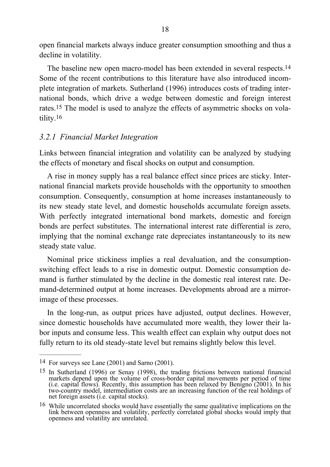open financial markets always induce greater consumption smoothing and thus a decline in volatility.

The baseline new open macro-model has been extended in several respects.<sup>14</sup> Some of the recent contributions to this literature have also introduced incomplete integration of markets. Sutherland (1996) introduces costs of trading international bonds, which drive a wedge between domestic and foreign interest rates.15 The model is used to analyze the effects of asymmetric shocks on volatility.16

#### *3.2.1 Financial Market Integration*

Links between financial integration and volatility can be analyzed by studying the effects of monetary and fiscal shocks on output and consumption.

A rise in money supply has a real balance effect since prices are sticky. International financial markets provide households with the opportunity to smoothen consumption. Consequently, consumption at home increases instantaneously to its new steady state level, and domestic households accumulate foreign assets. With perfectly integrated international bond markets, domestic and foreign bonds are perfect substitutes. The international interest rate differential is zero, implying that the nominal exchange rate depreciates instantaneously to its new steady state value.

Nominal price stickiness implies a real devaluation, and the consumptionswitching effect leads to a rise in domestic output. Domestic consumption demand is further stimulated by the decline in the domestic real interest rate. Demand-determined output at home increases. Developments abroad are a mirrorimage of these processes.

In the long-run, as output prices have adjusted, output declines. However, since domestic households have accumulated more wealth, they lower their labor inputs and consume less. This wealth effect can explain why output does not fully return to its old steady-state level but remains slightly below this level.

 $\frac{1}{2}$ 

<sup>14</sup> For surveys see Lane (2001) and Sarno (2001).

<sup>15</sup> In Sutherland (1996) or Senay (1998), the trading frictions between national financial markets depend upon the volume of cross-border capital movements per period of time (i.e. capital flows). Recently, this assumption has been relaxed by Benigno (2001). In his two-country model, intermediation costs are an increasing function of the real holdings of net foreign assets (i.e. capital stocks).

<sup>16</sup> While uncorrelated shocks would have essentially the same qualitative implications on the link between openness and volatility, perfectly correlated global shocks would imply that openness and volatility are unrelated.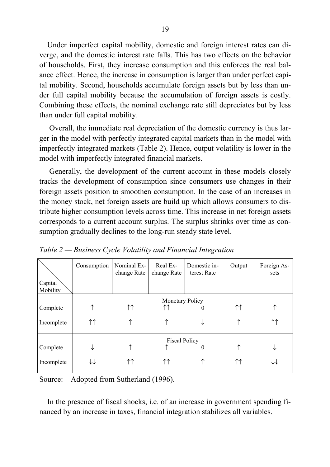Under imperfect capital mobility, domestic and foreign interest rates can diverge, and the domestic interest rate falls. This has two effects on the behavior of households. First, they increase consumption and this enforces the real balance effect. Hence, the increase in consumption is larger than under perfect capital mobility. Second, households accumulate foreign assets but by less than under full capital mobility because the accumulation of foreign assets is costly. Combining these effects, the nominal exchange rate still depreciates but by less than under full capital mobility.

Overall, the immediate real depreciation of the domestic currency is thus larger in the model with perfectly integrated capital markets than in the model with imperfectly integrated markets (Table 2). Hence, output volatility is lower in the model with imperfectly integrated financial markets.

Generally, the development of the current account in these models closely tracks the development of consumption since consumers use changes in their foreign assets position to smoothen consumption. In the case of an increases in the money stock, net foreign assets are build up which allows consumers to distribute higher consumption levels across time. This increase in net foreign assets corresponds to a current account surplus. The surplus shrinks over time as consumption gradually declines to the long-run steady state level.

|                     | Consumption            | Nominal Ex-<br>change Rate | Real Ex-<br>change Rate | Domestic in-<br>terest Rate | Output | Foreign As-<br>sets |
|---------------------|------------------------|----------------------------|-------------------------|-----------------------------|--------|---------------------|
| Capital<br>Mobility |                        |                            |                         |                             |        |                     |
|                     | <b>Monetary Policy</b> |                            |                         |                             |        |                     |
| Complete            | ↑                      | ↑↑                         | $\uparrow\uparrow$      | $\theta$                    | ↑↑     |                     |
| Incomplete          | $\uparrow \uparrow$    | ↑                          |                         | ↓                           |        | ↑↑                  |
|                     | <b>Fiscal Policy</b>   |                            |                         |                             |        |                     |
| Complete            |                        | ↑                          |                         | $\theta$                    |        |                     |
| Incomplete          |                        | ↑↑                         | 11                      | ↑                           | ↑↑     |                     |

*Table 2 — Business Cycle Volatility and Financial Integration* 

Source: Adopted from Sutherland (1996).

In the presence of fiscal shocks, i.e. of an increase in government spending financed by an increase in taxes, financial integration stabilizes all variables.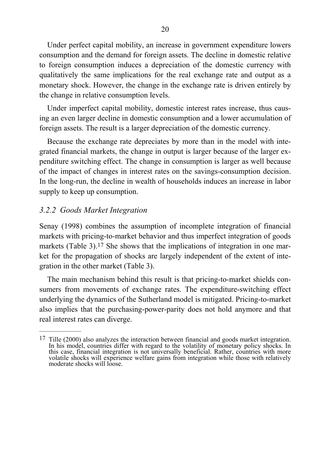Under perfect capital mobility, an increase in government expenditure lowers consumption and the demand for foreign assets. The decline in domestic relative to foreign consumption induces a depreciation of the domestic currency with qualitatively the same implications for the real exchange rate and output as a monetary shock. However, the change in the exchange rate is driven entirely by the change in relative consumption levels.

Under imperfect capital mobility, domestic interest rates increase, thus causing an even larger decline in domestic consumption and a lower accumulation of foreign assets. The result is a larger depreciation of the domestic currency.

Because the exchange rate depreciates by more than in the model with integrated financial markets, the change in output is larger because of the larger expenditure switching effect. The change in consumption is larger as well because of the impact of changes in interest rates on the savings-consumption decision. In the long-run, the decline in wealth of households induces an increase in labor supply to keep up consumption.

#### *3.2.2 Goods Market Integration*

 $\frac{1}{2}$ 

Senay (1998) combines the assumption of incomplete integration of financial markets with pricing-to-market behavior and thus imperfect integration of goods markets (Table 3).<sup>17</sup> She shows that the implications of integration in one market for the propagation of shocks are largely independent of the extent of integration in the other market (Table 3).

The main mechanism behind this result is that pricing-to-market shields consumers from movements of exchange rates. The expenditure-switching effect underlying the dynamics of the Sutherland model is mitigated. Pricing-to-market also implies that the purchasing-power-parity does not hold anymore and that real interest rates can diverge.

<sup>&</sup>lt;sup>17</sup> Tille (2000) also analyzes the interaction between financial and goods market integration. In his model, countries differ with regard to the volatility of monetary policy shocks. In this case, financial integration is not universally beneficial. Rather, countries with more volatile shocks will experience welfare gains from integration while those with relatively moderate shocks will loose.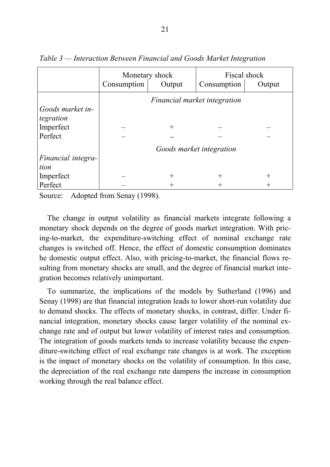|                    | Monetary shock<br>Consumption<br>Output |        | Fiscal shock<br>Consumption<br>Output |              |
|--------------------|-----------------------------------------|--------|---------------------------------------|--------------|
|                    | Financial market integration            |        |                                       |              |
| Goods market in-   |                                         |        |                                       |              |
| tegration          |                                         |        |                                       |              |
| Imperfect          |                                         | $^{+}$ |                                       |              |
| Perfect            |                                         |        |                                       |              |
|                    | Goods market integration                |        |                                       |              |
| Financial integra- |                                         |        |                                       |              |
| tion               |                                         |        |                                       |              |
| Imperfect          |                                         | $^{+}$ | $\pm$                                 | $\mathrm{+}$ |
| Perfect            |                                         |        |                                       |              |

*Table 3 — Interaction Between Financial and Goods Market Integration* 

Source: Adopted from Senay (1998).

The change in output volatility as financial markets integrate following a monetary shock depends on the degree of goods market integration. With pricing-to-market, the expenditure-switching effect of nominal exchange rate changes is switched off. Hence, the effect of domestic consumption dominates he domestic output effect. Also, with pricing-to-market, the financial flows resulting from monetary shocks are small, and the degree of financial market integration becomes relatively unimportant.

To summarize, the implications of the models by Sutherland (1996) and Senay (1998) are that financial integration leads to lower short-run volatility due to demand shocks. The effects of monetary shocks, in contrast, differ. Under financial integration, monetary shocks cause larger volatility of the nominal exchange rate and of output but lower volatility of interest rates and consumption. The integration of goods markets tends to increase volatility because the expenditure-switching effect of real exchange rate changes is at work. The exception is the impact of monetary shocks on the volatility of consumption. In this case, the depreciation of the real exchange rate dampens the increase in consumption working through the real balance effect.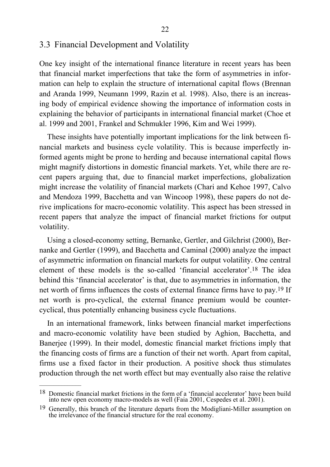#### 3.3 Financial Development and Volatility

One key insight of the international finance literature in recent years has been that financial market imperfections that take the form of asymmetries in information can help to explain the structure of international capital flows (Brennan and Aranda 1999, Neumann 1999, Razin et al. 1998). Also, there is an increasing body of empirical evidence showing the importance of information costs in explaining the behavior of participants in international financial market (Choe et al. 1999 and 2001, Frankel and Schmukler 1996, Kim and Wei 1999).

These insights have potentially important implications for the link between financial markets and business cycle volatility. This is because imperfectly informed agents might be prone to herding and because international capital flows might magnify distortions in domestic financial markets. Yet, while there are recent papers arguing that, due to financial market imperfections, globalization might increase the volatility of financial markets (Chari and Kehoe 1997, Calvo and Mendoza 1999, Bacchetta and van Wincoop 1998), these papers do not derive implications for macro-economic volatility. This aspect has been stressed in recent papers that analyze the impact of financial market frictions for output volatility.

Using a closed-economy setting, Bernanke, Gertler, and Gilchrist (2000), Bernanke and Gertler (1999), and Bacchetta and Caminal (2000) analyze the impact of asymmetric information on financial markets for output volatility. One central element of these models is the so-called 'financial accelerator'.18 The idea behind this 'financial accelerator' is that, due to asymmetries in information, the net worth of firms influences the costs of external finance firms have to pay.19 If net worth is pro-cyclical, the external finance premium would be countercyclical, thus potentially enhancing business cycle fluctuations.

In an international framework, links between financial market imperfections and macro-economic volatility have been studied by Aghion, Bacchetta, and Banerjee (1999). In their model, domestic financial market frictions imply that the financing costs of firms are a function of their net worth. Apart from capital, firms use a fixed factor in their production. A positive shock thus stimulates production through the net worth effect but may eventually also raise the relative

<sup>18</sup> Domestic financial market frictions in the form of a 'financial accelerator' have been build into new open economy macro-models as well (Faia 2001, Cespedes et al. 2001).

<sup>&</sup>lt;sup>19</sup> Generally, this branch of the literature departs from the Modigliani-Miller assumption on the irrelevance of the financial structure for the real economy.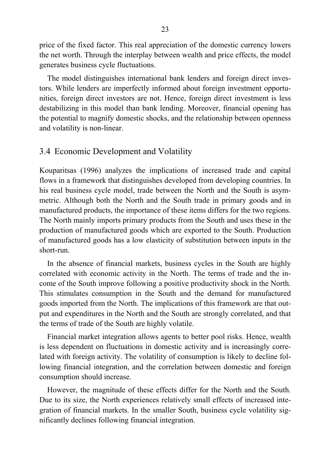price of the fixed factor. This real appreciation of the domestic currency lowers the net worth. Through the interplay between wealth and price effects, the model generates business cycle fluctuations.

The model distinguishes international bank lenders and foreign direct investors. While lenders are imperfectly informed about foreign investment opportunities, foreign direct investors are not. Hence, foreign direct investment is less destabilizing in this model than bank lending. Moreover, financial opening has the potential to magnify domestic shocks, and the relationship between openness and volatility is non-linear.

#### 3.4 Economic Development and Volatility

Kouparitsas (1996) analyzes the implications of increased trade and capital flows in a framework that distinguishes developed from developing countries. In his real business cycle model, trade between the North and the South is asymmetric. Although both the North and the South trade in primary goods and in manufactured products, the importance of these items differs for the two regions. The North mainly imports primary products from the South and uses these in the production of manufactured goods which are exported to the South. Production of manufactured goods has a low elasticity of substitution between inputs in the short-run.

In the absence of financial markets, business cycles in the South are highly correlated with economic activity in the North. The terms of trade and the income of the South improve following a positive productivity shock in the North. This stimulates consumption in the South and the demand for manufactured goods imported from the North. The implications of this framework are that output and expenditures in the North and the South are strongly correlated, and that the terms of trade of the South are highly volatile.

Financial market integration allows agents to better pool risks. Hence, wealth is less dependent on fluctuations in domestic activity and is increasingly correlated with foreign activity. The volatility of consumption is likely to decline following financial integration, and the correlation between domestic and foreign consumption should increase.

However, the magnitude of these effects differ for the North and the South. Due to its size, the North experiences relatively small effects of increased integration of financial markets. In the smaller South, business cycle volatility significantly declines following financial integration.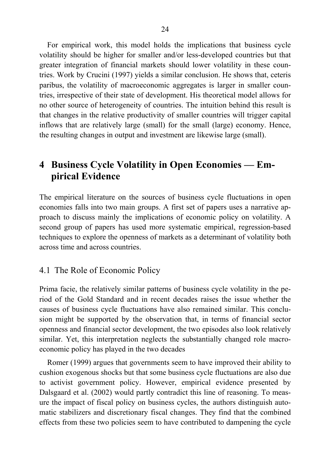For empirical work, this model holds the implications that business cycle volatility should be higher for smaller and/or less-developed countries but that greater integration of financial markets should lower volatility in these countries. Work by Crucini (1997) yields a similar conclusion. He shows that, ceteris paribus, the volatility of macroeconomic aggregates is larger in smaller countries, irrespective of their state of development. His theoretical model allows for no other source of heterogeneity of countries. The intuition behind this result is that changes in the relative productivity of smaller countries will trigger capital inflows that are relatively large (small) for the small (large) economy. Hence, the resulting changes in output and investment are likewise large (small).

# **4 Business Cycle Volatility in Open Economies — Empirical Evidence**

The empirical literature on the sources of business cycle fluctuations in open economies falls into two main groups. A first set of papers uses a narrative approach to discuss mainly the implications of economic policy on volatility. A second group of papers has used more systematic empirical, regression-based techniques to explore the openness of markets as a determinant of volatility both across time and across countries.

### 4.1 The Role of Economic Policy

Prima facie, the relatively similar patterns of business cycle volatility in the period of the Gold Standard and in recent decades raises the issue whether the causes of business cycle fluctuations have also remained similar. This conclusion might be supported by the observation that, in terms of financial sector openness and financial sector development, the two episodes also look relatively similar. Yet, this interpretation neglects the substantially changed role macroeconomic policy has played in the two decades

Romer (1999) argues that governments seem to have improved their ability to cushion exogenous shocks but that some business cycle fluctuations are also due to activist government policy. However, empirical evidence presented by Dalsgaard et al. (2002) would partly contradict this line of reasoning. To measure the impact of fiscal policy on business cycles, the authors distinguish automatic stabilizers and discretionary fiscal changes. They find that the combined effects from these two policies seem to have contributed to dampening the cycle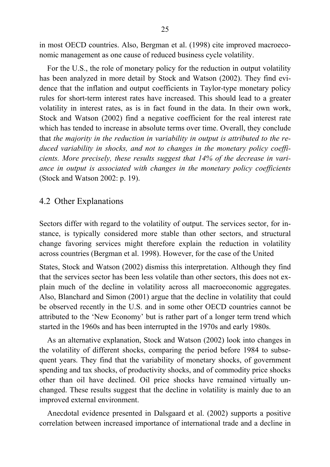in most OECD countries. Also, Bergman et al. (1998) cite improved macroeconomic management as one cause of reduced business cycle volatility.

For the U.S., the role of monetary policy for the reduction in output volatility has been analyzed in more detail by Stock and Watson (2002). They find evidence that the inflation and output coefficients in Taylor-type monetary policy rules for short-term interest rates have increased. This should lead to a greater volatility in interest rates, as is in fact found in the data. In their own work, Stock and Watson (2002) find a negative coefficient for the real interest rate which has tended to increase in absolute terms over time. Overall, they conclude that *the majority in the reduction in variability in output is attributed to the reduced variability in shocks, and not to changes in the monetary policy coefficients. More precisely, these results suggest that 14% of the decrease in variance in output is associated with changes in the monetary policy coefficients* (Stock and Watson 2002: p. 19).

#### 4.2 Other Explanations

Sectors differ with regard to the volatility of output. The services sector, for instance, is typically considered more stable than other sectors, and structural change favoring services might therefore explain the reduction in volatility across countries (Bergman et al. 1998). However, for the case of the United

States, Stock and Watson (2002) dismiss this interpretation. Although they find that the services sector has been less volatile than other sectors, this does not explain much of the decline in volatility across all macroeconomic aggregates. Also, Blanchard and Simon (2001) argue that the decline in volatility that could be observed recently in the U.S. and in some other OECD countries cannot be attributed to the 'New Economy' but is rather part of a longer term trend which started in the 1960s and has been interrupted in the 1970s and early 1980s.

As an alternative explanation, Stock and Watson (2002) look into changes in the volatility of different shocks, comparing the period before 1984 to subsequent years. They find that the variability of monetary shocks, of government spending and tax shocks, of productivity shocks, and of commodity price shocks other than oil have declined. Oil price shocks have remained virtually unchanged. These results suggest that the decline in volatility is mainly due to an improved external environment.

Anecdotal evidence presented in Dalsgaard et al. (2002) supports a positive correlation between increased importance of international trade and a decline in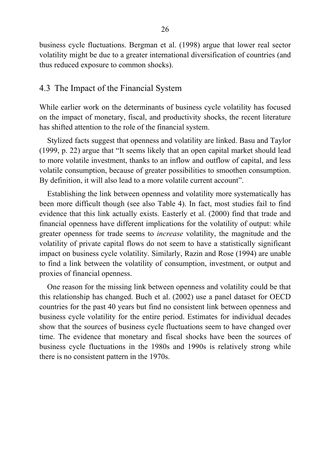business cycle fluctuations. Bergman et al. (1998) argue that lower real sector volatility might be due to a greater international diversification of countries (and thus reduced exposure to common shocks).

#### 4.3 The Impact of the Financial System

While earlier work on the determinants of business cycle volatility has focused on the impact of monetary, fiscal, and productivity shocks, the recent literature has shifted attention to the role of the financial system.

Stylized facts suggest that openness and volatility are linked. Basu and Taylor (1999, p. 22) argue that "It seems likely that an open capital market should lead to more volatile investment, thanks to an inflow and outflow of capital, and less volatile consumption, because of greater possibilities to smoothen consumption. By definition, it will also lead to a more volatile current account".

Establishing the link between openness and volatility more systematically has been more difficult though (see also Table 4). In fact, most studies fail to find evidence that this link actually exists. Easterly et al. (2000) find that trade and financial openness have different implications for the volatility of output: while greater openness for trade seems to *increase* volatility, the magnitude and the volatility of private capital flows do not seem to have a statistically significant impact on business cycle volatility. Similarly, Razin and Rose (1994) are unable to find a link between the volatility of consumption, investment, or output and proxies of financial openness.

One reason for the missing link between openness and volatility could be that this relationship has changed. Buch et al. (2002) use a panel dataset for OECD countries for the past 40 years but find no consistent link between openness and business cycle volatility for the entire period. Estimates for individual decades show that the sources of business cycle fluctuations seem to have changed over time. The evidence that monetary and fiscal shocks have been the sources of business cycle fluctuations in the 1980s and 1990s is relatively strong while there is no consistent pattern in the 1970s.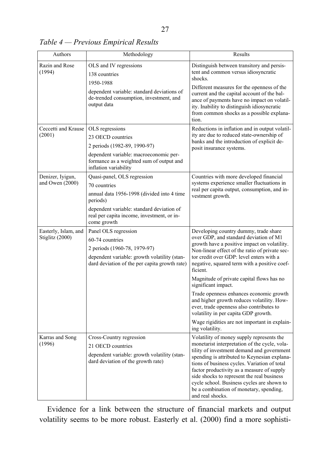*Table 4 — Previous Empirical Results* 

| Authors                                 | Methodology                                                                                                                                                                                                     | Results                                                                                                                                                                                                                                                                                                                                                                                                                                                                                                                                                                                                        |  |
|-----------------------------------------|-----------------------------------------------------------------------------------------------------------------------------------------------------------------------------------------------------------------|----------------------------------------------------------------------------------------------------------------------------------------------------------------------------------------------------------------------------------------------------------------------------------------------------------------------------------------------------------------------------------------------------------------------------------------------------------------------------------------------------------------------------------------------------------------------------------------------------------------|--|
| Razin and Rose<br>(1994)                | OLS and IV regressions<br>138 countries<br>1950-1988<br>dependent variable: standard deviations of<br>de-trended consumption, investment, and<br>output data                                                    | Distinguish between transitory and persis-<br>tent and common versus idiosyncratic<br>shocks.<br>Different measures for the openness of the<br>current and the capital account of the bal-<br>ance of payments have no impact on volatil-<br>ity. Inability to distinguish idiosyncratic<br>from common shocks as a possible explana-<br>tion.                                                                                                                                                                                                                                                                 |  |
| Ceccetti and Krause<br>(2001)           | OLS regressions<br>23 OECD countries<br>2 periods (1982-89, 1990-97)<br>dependent variable: macroeconomic per-<br>formance as a weighted sum of output and<br>inflation variability                             | Reductions in inflation and in output volatil-<br>ity are due to reduced state-ownership of<br>banks and the introduction of explicit de-<br>posit insurance systems.                                                                                                                                                                                                                                                                                                                                                                                                                                          |  |
| Denizer, Iyigun,<br>and Owen $(2000)$   | Quasi-panel, OLS regression<br>70 countries<br>annual data 1956-1998 (divided into 4 time<br>periods)<br>dependent variable: standard deviation of<br>real per capita income, investment, or in-<br>come growth | Countries with more developed financial<br>systems experience smaller fluctuations in<br>real per capita output, consumption, and in-<br>vestment growth.                                                                                                                                                                                                                                                                                                                                                                                                                                                      |  |
| Easterly, Islam, and<br>Stiglitz (2000) | Panel OLS regression<br>60-74 countries<br>2 periods (1960-78, 1979-97)<br>dependent variable: growth volatility (stan-<br>dard deviation of the per capita growth rate)                                        | Developing country dummy, trade share<br>over GDP, and standard deviation of M1<br>growth have a positive impact on volatility.<br>Non-linear effect of the ratio of private sec-<br>tor credit over GDP: level enters with a<br>negative, squared term with a positive coef-<br>ficient.<br>Magnitude of private capital flows has no<br>significant impact.<br>Trade openness enhances economic growth<br>and higher growth reduces volatility. How-<br>ever, trade openness also contributes to<br>volatility in per capita GDP growth.<br>Wage rigidities are not important in explain-<br>ing volatility. |  |
| Karras and Song<br>(1996)               | Cross-Country regression<br>21 OECD countries<br>dependent variable: growth volatility (stan-<br>dard deviation of the growth rate)                                                                             | Volatility of money supply represents the<br>monetarist interpretation of the cycle, vola-<br>tility of investment demand and government<br>spending is attributed to Keynesian explana-<br>tions of business cycles. Variation of total<br>factor productivity as a measure of supply<br>side shocks to represent the real business<br>cycle school. Business cycles are shown to<br>be a combination of monetary, spending,<br>and real shocks.                                                                                                                                                              |  |

Evidence for a link between the structure of financial markets and output volatility seems to be more robust. Easterly et al. (2000) find a more sophisti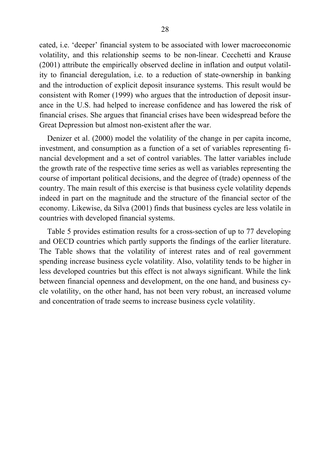cated, i.e. 'deeper' financial system to be associated with lower macroeconomic volatility, and this relationship seems to be non-linear. Cecchetti and Krause (2001) attribute the empirically observed decline in inflation and output volatility to financial deregulation, i.e. to a reduction of state-ownership in banking and the introduction of explicit deposit insurance systems. This result would be consistent with Romer (1999) who argues that the introduction of deposit insurance in the U.S. had helped to increase confidence and has lowered the risk of financial crises. She argues that financial crises have been widespread before the Great Depression but almost non-existent after the war.

Denizer et al. (2000) model the volatility of the change in per capita income, investment, and consumption as a function of a set of variables representing financial development and a set of control variables. The latter variables include the growth rate of the respective time series as well as variables representing the course of important political decisions, and the degree of (trade) openness of the country. The main result of this exercise is that business cycle volatility depends indeed in part on the magnitude and the structure of the financial sector of the economy. Likewise, da Silva (2001) finds that business cycles are less volatile in countries with developed financial systems.

Table 5 provides estimation results for a cross-section of up to 77 developing and OECD countries which partly supports the findings of the earlier literature. The Table shows that the volatility of interest rates and of real government spending increase business cycle volatility. Also, volatility tends to be higher in less developed countries but this effect is not always significant. While the link between financial openness and development, on the one hand, and business cycle volatility, on the other hand, has not been very robust, an increased volume and concentration of trade seems to increase business cycle volatility.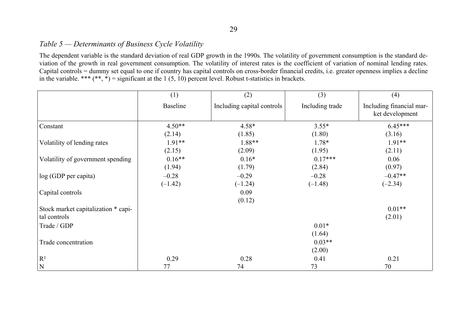#### *Table 5 — Determinants of Business Cycle Volatility*

The dependent variable is the standard deviation of real GDP growth in the 1990s. The volatility of government consumption is the standard deviation of the growth in real government consumption. The volatility of interest rates is the coefficient of variation of nominal lending rates. Capital controls = dummy set equal to one if country has capital controls on cross-border financial credits, i.e. greater openness implies a decline in the variable. \*\*\* (\*\*, \*) = significant at the 1 (5, 10) percent level. Robust t-statistics in brackets.

|                                     | (1)             | (2)                        | (3)             | (4)                                         |
|-------------------------------------|-----------------|----------------------------|-----------------|---------------------------------------------|
|                                     | <b>Baseline</b> | Including capital controls | Including trade | Including financial mar-<br>ket development |
| Constant                            | $4.50**$        | $4.58*$                    | $3.55*$         | $6.45***$                                   |
|                                     | (2.14)          | (1.85)                     | (1.80)          | (3.16)                                      |
| Volatility of lending rates         | 1.91**          | 1.88**                     | $1.78*$         | $1.91**$                                    |
|                                     | (2.15)          | (2.09)                     | (1.95)          | (2.11)                                      |
| Volatility of government spending   | $0.16**$        | $0.16*$                    | $0.17***$       | 0.06                                        |
|                                     | (1.94)          | (1.79)                     | (2.84)          | (0.97)                                      |
| log (GDP per capita)                | $-0.28$         | $-0.29$                    | $-0.28$         | $-0.47**$                                   |
|                                     | $(-1.42)$       | $(-1.24)$                  | $(-1.48)$       | $(-2.34)$                                   |
| Capital controls                    |                 | 0.09                       |                 |                                             |
|                                     |                 | (0.12)                     |                 |                                             |
| Stock market capitalization * capi- |                 |                            |                 | $0.01**$                                    |
| tal controls                        |                 |                            |                 | (2.01)                                      |
| Trade / GDP                         |                 |                            | $0.01*$         |                                             |
|                                     |                 |                            | (1.64)          |                                             |
| Trade concentration                 |                 |                            | $0.03**$        |                                             |
|                                     |                 |                            | (2.00)          |                                             |
| $R^2$                               | 0.29            | 0.28                       | 0.41            | 0.21                                        |
| N                                   | 77              | 74                         | 73              | 70                                          |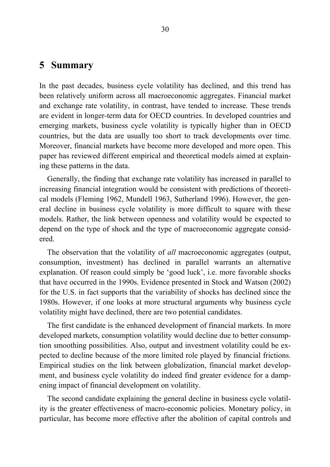## **5 Summary**

In the past decades, business cycle volatility has declined, and this trend has been relatively uniform across all macroeconomic aggregates. Financial market and exchange rate volatility, in contrast, have tended to increase. These trends are evident in longer-term data for OECD countries. In developed countries and emerging markets, business cycle volatility is typically higher than in OECD countries, but the data are usually too short to track developments over time. Moreover, financial markets have become more developed and more open. This paper has reviewed different empirical and theoretical models aimed at explaining these patterns in the data.

Generally, the finding that exchange rate volatility has increased in parallel to increasing financial integration would be consistent with predictions of theoretical models (Fleming 1962, Mundell 1963, Sutherland 1996). However, the general decline in business cycle volatility is more difficult to square with these models. Rather, the link between openness and volatility would be expected to depend on the type of shock and the type of macroeconomic aggregate considered.

The observation that the volatility of *all* macroeconomic aggregates (output, consumption, investment) has declined in parallel warrants an alternative explanation. Of reason could simply be 'good luck', i.e. more favorable shocks that have occurred in the 1990s. Evidence presented in Stock and Watson (2002) for the U.S. in fact supports that the variability of shocks has declined since the 1980s. However, if one looks at more structural arguments why business cycle volatility might have declined, there are two potential candidates.

The first candidate is the enhanced development of financial markets. In more developed markets, consumption volatility would decline due to better consumption smoothing possibilities. Also, output and investment volatility could be expected to decline because of the more limited role played by financial frictions. Empirical studies on the link between globalization, financial market development, and business cycle volatility do indeed find greater evidence for a dampening impact of financial development on volatility.

The second candidate explaining the general decline in business cycle volatility is the greater effectiveness of macro-economic policies. Monetary policy, in particular, has become more effective after the abolition of capital controls and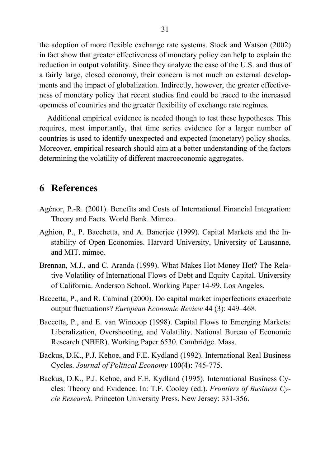the adoption of more flexible exchange rate systems. Stock and Watson (2002) in fact show that greater effectiveness of monetary policy can help to explain the reduction in output volatility. Since they analyze the case of the U.S. and thus of a fairly large, closed economy, their concern is not much on external developments and the impact of globalization. Indirectly, however, the greater effectiveness of monetary policy that recent studies find could be traced to the increased openness of countries and the greater flexibility of exchange rate regimes.

Additional empirical evidence is needed though to test these hypotheses. This requires, most importantly, that time series evidence for a larger number of countries is used to identify unexpected and expected (monetary) policy shocks. Moreover, empirical research should aim at a better understanding of the factors determining the volatility of different macroeconomic aggregates.

## **6 References**

- Agénor, P.-R. (2001). Benefits and Costs of International Financial Integration: Theory and Facts. World Bank. Mimeo.
- Aghion, P., P. Bacchetta, and A. Banerjee (1999). Capital Markets and the Instability of Open Economies. Harvard University, University of Lausanne, and MIT. mimeo.
- Brennan, M.J., and C. Aranda (1999). What Makes Hot Money Hot? The Relative Volatility of International Flows of Debt and Equity Capital. University of California. Anderson School. Working Paper 14-99. Los Angeles.
- Baccetta, P., and R. Caminal (2000). Do capital market imperfections exacerbate output fluctuations? *European Economic Review* 44 (3): 449–468.
- Baccetta, P., and E. van Wincoop (1998). Capital Flows to Emerging Markets: Liberalization, Overshooting, and Volatility. National Bureau of Economic Research (NBER). Working Paper 6530. Cambridge. Mass.
- Backus, D.K., P.J. Kehoe, and F.E. Kydland (1992). International Real Business Cycles. *Journal of Political Economy* 100(4): 745-775.
- Backus, D.K., P.J. Kehoe, and F.E. Kydland (1995). International Business Cycles: Theory and Evidence. In: T.F. Cooley (ed.). *Frontiers of Business Cycle Research*. Princeton University Press. New Jersey: 331-356.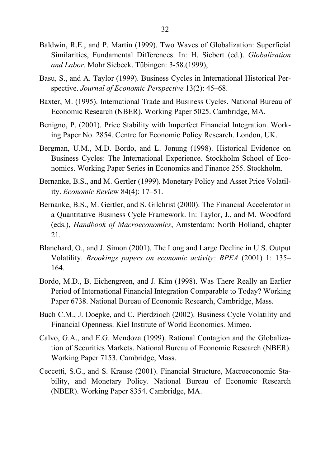- Baldwin, R.E., and P. Martin (1999). Two Waves of Globalization: Superficial Similarities, Fundamental Differences. In: H. Siebert (ed.). *Globalization and Labor*. Mohr Siebeck. Tübingen: 3-58.(1999),
- Basu, S., and A. Taylor (1999). Business Cycles in International Historical Perspective. *Journal of Economic Perspective* 13(2): 45–68.
- Baxter, M. (1995). International Trade and Business Cycles. National Bureau of Economic Research (NBER). Working Paper 5025. Cambridge, MA.
- Benigno, P. (2001). Price Stability with Imperfect Financial Integration. Working Paper No. 2854. Centre for Economic Policy Research. London, UK.
- Bergman, U.M., M.D. Bordo, and L. Jonung (1998). Historical Evidence on Business Cycles: The International Experience. Stockholm School of Economics. Working Paper Series in Economics and Finance 255. Stockholm.
- Bernanke, B.S., and M. Gertler (1999). Monetary Policy and Asset Price Volatility. *Economic Revie*w 84(4): 17–51.
- Bernanke, B.S., M. Gertler, and S. Gilchrist (2000). The Financial Accelerator in a Quantitative Business Cycle Framework. In: Taylor, J., and M. Woodford (eds.), *Handbook of Macroeconomics*, Amsterdam: North Holland, chapter 21.
- Blanchard, O., and J. Simon (2001). The Long and Large Decline in U.S. Output Volatility. *Brookings papers on economic activity: BPEA* (2001) 1: 135– 164.
- Bordo, M.D., B. Eichengreen, and J. Kim (1998). Was There Really an Earlier Period of International Financial Integration Comparable to Today? Working Paper 6738. National Bureau of Economic Research, Cambridge, Mass.
- Buch C.M., J. Doepke, and C. Pierdzioch (2002). Business Cycle Volatility and Financial Openness. Kiel Institute of World Economics. Mimeo.
- Calvo, G.A., and E.G. Mendoza (1999). Rational Contagion and the Globalization of Securities Markets. National Bureau of Economic Research (NBER). Working Paper 7153. Cambridge, Mass.
- Ceccetti, S.G., and S. Krause (2001). Financial Structure, Macroeconomic Stability, and Monetary Policy. National Bureau of Economic Research (NBER). Working Paper 8354. Cambridge, MA.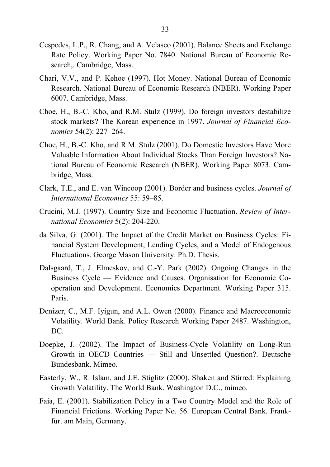- Cespedes, L.P., R. Chang, and A. Velasco (2001). Balance Sheets and Exchange Rate Policy. Working Paper No. 7840. National Bureau of Economic Research,. Cambridge, Mass.
- Chari, V.V., and P. Kehoe (1997). Hot Money. National Bureau of Economic Research. National Bureau of Economic Research (NBER). Working Paper 6007. Cambridge, Mass.
- Choe, H., B.-C. Kho, and R.M. Stulz (1999). Do foreign investors destabilize stock markets? The Korean experience in 1997. *Journal of Financial Economics* 54(2): 227–264.
- Choe, H., B.-C. Kho, and R.M. Stulz (2001). Do Domestic Investors Have More Valuable Information About Individual Stocks Than Foreign Investors? National Bureau of Economic Research (NBER). Working Paper 8073. Cambridge, Mass.
- Clark, T.E., and E. van Wincoop (2001). Border and business cycles. *Journal of International Economics* 55: 59–85.
- Crucini, M.J. (1997). Country Size and Economic Fluctuation. *Review of International Economics* 5(2): 204-220.
- da Silva, G. (2001). The Impact of the Credit Market on Business Cycles: Financial System Development, Lending Cycles, and a Model of Endogenous Fluctuations. George Mason University. Ph.D. Thesis.
- Dalsgaard, T., J. Elmeskov, and C.-Y. Park (2002). Ongoing Changes in the Business Cycle — Evidence and Causes. Organisation for Economic Cooperation and Development. Economics Department. Working Paper 315. Paris.
- Denizer, C., M.F. Iyigun, and A.L. Owen (2000). Finance and Macroeconomic Volatility. World Bank. Policy Research Working Paper 2487. Washington, DC.
- Doepke, J. (2002). The Impact of Business-Cycle Volatility on Long-Run Growth in OECD Countries — Still and Unsettled Question?. Deutsche Bundesbank. Mimeo.
- Easterly, W., R. Islam, and J.E. Stiglitz (2000). Shaken and Stirred: Explaining Growth Volatility. The World Bank. Washington D.C., mimeo.
- Faia, E. (2001). Stabilization Policy in a Two Country Model and the Role of Financial Frictions. Working Paper No. 56. European Central Bank. Frankfurt am Main, Germany.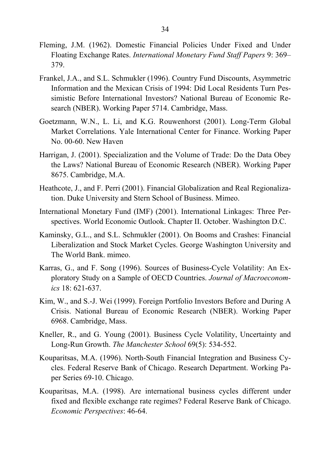- Fleming, J.M. (1962). Domestic Financial Policies Under Fixed and Under Floating Exchange Rates. *International Monetary Fund Staff Papers* 9: 369– 379.
- Frankel, J.A., and S.L. Schmukler (1996). Country Fund Discounts, Asymmetric Information and the Mexican Crisis of 1994: Did Local Residents Turn Pessimistic Before International Investors? National Bureau of Economic Research (NBER). Working Paper 5714. Cambridge, Mass.
- Goetzmann, W.N., L. Li, and K.G. Rouwenhorst (2001). Long-Term Global Market Correlations. Yale International Center for Finance. Working Paper No. 00-60. New Haven
- Harrigan, J. (2001). Specialization and the Volume of Trade: Do the Data Obey the Laws? National Bureau of Economic Research (NBER). Working Paper 8675. Cambridge, M.A.
- Heathcote, J., and F. Perri (2001). Financial Globalization and Real Regionalization. Duke University and Stern School of Business. Mimeo.
- International Monetary Fund (IMF) (2001). International Linkages: Three Perspectives. World Economic Outlook. Chapter II. October. Washington D.C.
- Kaminsky, G.L., and S.L. Schmukler (2001). On Booms and Crashes: Financial Liberalization and Stock Market Cycles. George Washington University and The World Bank. mimeo.
- Karras, G., and F. Song (1996). Sources of Business-Cycle Volatility: An Exploratory Study on a Sample of OECD Countries. *Journal of Macroeconomics* 18: 621-637.
- Kim, W., and S.-J. Wei (1999). Foreign Portfolio Investors Before and During A Crisis. National Bureau of Economic Research (NBER). Working Paper 6968. Cambridge, Mass.
- Kneller, R., and G. Young (2001). Business Cycle Volatility, Uncertainty and Long-Run Growth. *The Manchester School* 69(5): 534-552.
- Kouparitsas, M.A. (1996). North-South Financial Integration and Business Cycles. Federal Reserve Bank of Chicago. Research Department. Working Paper Series 69-10. Chicago.
- Kouparitsas, M.A. (1998). Are international business cycles different under fixed and flexible exchange rate regimes? Federal Reserve Bank of Chicago. *Economic Perspectives*: 46-64.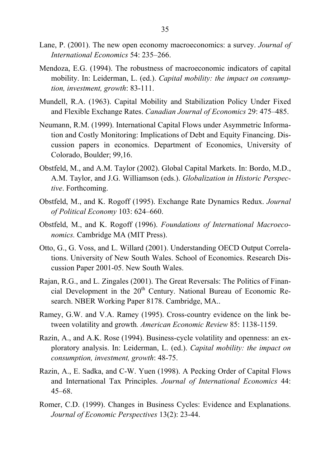- Lane, P. (2001). The new open economy macroeconomics: a survey. *Journal of International Economics* 54: 235–266.
- Mendoza, E.G. (1994). The robustness of macroeconomic indicators of capital mobility. In: Leiderman, L. (ed.). *Capital mobility: the impact on consumption, investment, growth*: 83-111.
- Mundell, R.A. (1963). Capital Mobility and Stabilization Policy Under Fixed and Flexible Exchange Rates. *Canadian Journal of Economics* 29: 475–485.
- Neumann, R.M. (1999). International Capital Flows under Asymmetric Information and Costly Monitoring: Implications of Debt and Equity Financing. Discussion papers in economics. Department of Economics, University of Colorado, Boulder; 99,16.
- Obstfeld, M., and A.M. Taylor (2002). Global Capital Markets. In: Bordo, M.D., A.M. Taylor, and J.G. Williamson (eds.). *Globalization in Historic Perspective*. Forthcoming.
- Obstfeld, M., and K. Rogoff (1995). Exchange Rate Dynamics Redux. *Journal of Political Economy* 103: 624–660.
- Obstfeld, M., and K. Rogoff (1996). *Foundations of International Macroeconomics.* Cambridge MA (MIT Press).
- Otto, G., G. Voss, and L. Willard (2001). Understanding OECD Output Correlations. University of New South Wales. School of Economics. Research Discussion Paper 2001-05. New South Wales.
- Rajan, R.G., and L. Zingales (2001). The Great Reversals: The Politics of Financial Development in the 20<sup>th</sup> Century. National Bureau of Economic Research. NBER Working Paper 8178. Cambridge, MA..
- Ramey, G.W. and V.A. Ramey (1995). Cross-country evidence on the link between volatility and growth*. American Economic Review* 85: 1138-1159.
- Razin, A., and A.K. Rose (1994). Business-cycle volatility and openness: an exploratory analysis. In: Leiderman, L. (ed.). *Capital mobility: the impact on consumption, investment, growth*: 48-75.
- Razin, A., E. Sadka, and C-W. Yuen (1998). A Pecking Order of Capital Flows and International Tax Principles. *Journal of International Economics* 44: 45–68.
- Romer, C.D. (1999). Changes in Business Cycles: Evidence and Explanations. *Journal of Economic Perspectives* 13(2): 23-44.